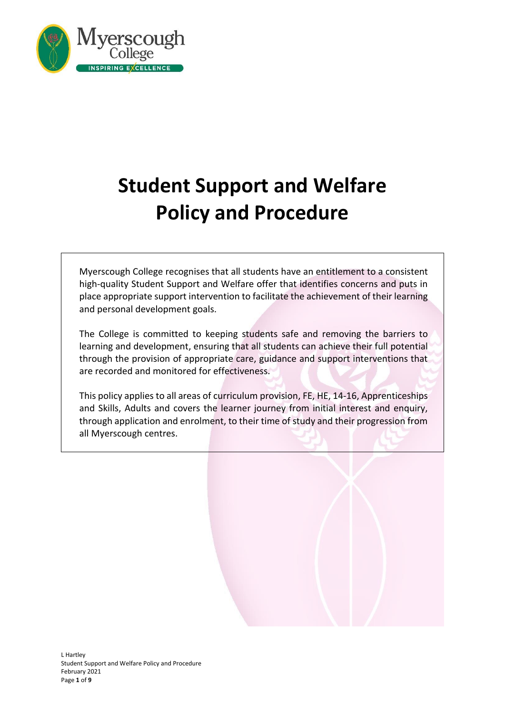

# **Student Support and Welfare Policy and Procedure**

Myerscough College recognises that all students have an entitlement to a consistent high-quality Student Support and Welfare offer that identifies concerns and puts in place appropriate support intervention to facilitate the achievement of their learning and personal development goals.

The College is committed to keeping students safe and removing the barriers to learning and development, ensuring that all students can achieve their full potential through the provision of appropriate care, guidance and support interventions that are recorded and monitored for effectiveness.

This policy applies to all areas of curriculum provision, FE, HE, 14-16, Apprenticeships and Skills, Adults and covers the learner journey from initial interest and enquiry, through application and enrolment, to their time of study and their progression from all Myerscough centres.

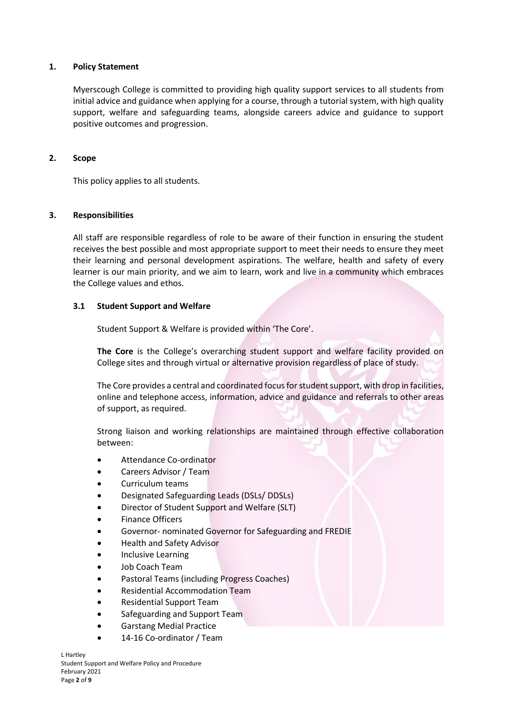#### **1. Policy Statement**

Myerscough College is committed to providing high quality support services to all students from initial advice and guidance when applying for a course, through a tutorial system, with high quality support, welfare and safeguarding teams, alongside careers advice and guidance to support positive outcomes and progression.

#### **2. Scope**

This policy applies to all students.

#### **3. Responsibilities**

All staff are responsible regardless of role to be aware of their function in ensuring the student receives the best possible and most appropriate support to meet their needs to ensure they meet their learning and personal development aspirations. The welfare, health and safety of every learner is our main priority, and we aim to learn, work and live in a community which embraces the College values and ethos.

#### **3.1 Student Support and Welfare**

Student Support & Welfare is provided within 'The Core'.

**The Core** is the College's overarching student support and welfare facility provided on College sites and through virtual or alternative provision regardless of place of study.

The Core provides a central and coordinated focus for student support, with drop in facilities, online and telephone access, information, advice and guidance and referrals to other areas of support, as required.

Strong liaison and working relationships are maintained through effective collaboration between:

- Attendance Co-ordinator
- Careers Advisor / Team
- Curriculum teams
- Designated Safeguarding Leads (DSLs/ DDSLs)
- Director of Student Support and Welfare (SLT)
- **Finance Officers**
- Governor- nominated Governor for Safeguarding and FREDIE
- Health and Safety Advisor
- Inclusive Learning
- Job Coach Team
- Pastoral Teams (including Progress Coaches)
- Residential Accommodation Team
- Residential Support Team
- Safeguarding and Support Team
- Garstang Medial Practice
- 14-16 Co-ordinator / Team

L Hartley Student Support and Welfare Policy and Procedure February 2021 Page **2** of **9**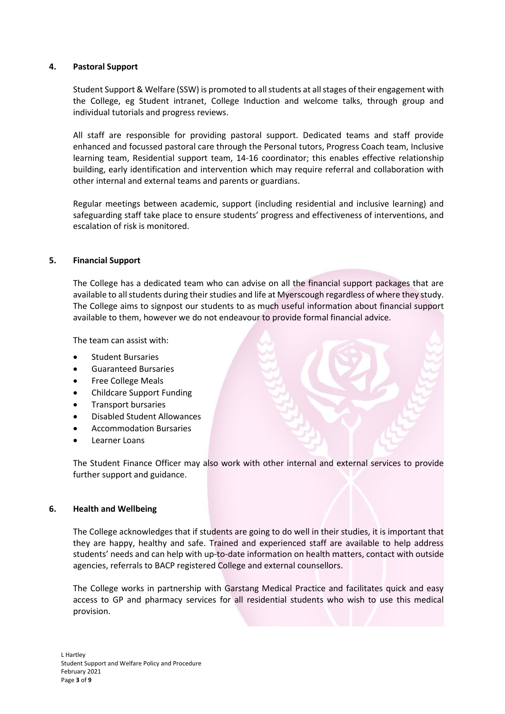# **4. Pastoral Support**

Student Support & Welfare (SSW) is promoted to all students at all stages of their engagement with the College, eg Student intranet, College Induction and welcome talks, through group and individual tutorials and progress reviews.

All staff are responsible for providing pastoral support. Dedicated teams and staff provide enhanced and focussed pastoral care through the Personal tutors, Progress Coach team, Inclusive learning team, Residential support team, 14-16 coordinator; this enables effective relationship building, early identification and intervention which may require referral and collaboration with other internal and external teams and parents or guardians.

Regular meetings between academic, support (including residential and inclusive learning) and safeguarding staff take place to ensure students' progress and effectiveness of interventions, and escalation of risk is monitored.

#### **5. Financial Support**

The College has a dedicated team who can advise on all the financial support packages that are available to all students during their studies and life at Myerscough regardless of where they study. The College aims to signpost our students to as much useful information about financial support available to them, however we do not endeavour to provide formal financial advice.

The team can assist with:

- Student Bursaries
- Guaranteed Bursaries
- Free College Meals
- Childcare Support Funding
- Transport bursaries
- Disabled Student Allowances
- Accommodation Bursaries
- Learner Loans

The Student Finance Officer may also work with other internal and external services to provide further support and guidance.

#### **6. Health and Wellbeing**

The College acknowledges that if students are going to do well in their studies, it is important that they are happy, healthy and safe. Trained and experienced staff are available to help address students' needs and can help with up-to-date information on health matters, contact with outside agencies, referrals to BACP registered College and external counsellors.

The College works in partnership with Garstang Medical Practice and facilitates quick and easy access to GP and pharmacy services for all residential students who wish to use this medical provision.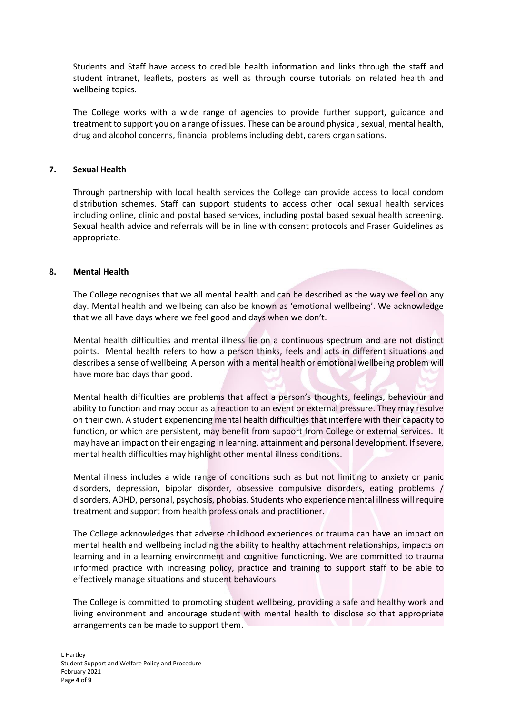Students and Staff have access to credible health information and links through the staff and student intranet, leaflets, posters as well as through course tutorials on related health and wellbeing topics.

The College works with a wide range of agencies to provide further support, guidance and treatment to support you on a range of issues. These can be around physical, sexual, mental health, drug and alcohol concerns, financial problems including debt, carers organisations.

# **7. Sexual Health**

Through partnership with local health services the College can provide access to local condom distribution schemes. Staff can support students to access other local sexual health services including online, clinic and postal based services, including postal based sexual health screening. Sexual health advice and referrals will be in line with consent protocols and Fraser Guidelines as appropriate.

## **8. Mental Health**

The College recognises that we all mental health and can be described as the way we feel on any day. Mental health and wellbeing can also be known as 'emotional wellbeing'. We acknowledge that we all have days where we feel good and days when we don't.

Mental health difficulties and mental illness lie on a continuous spectrum and are not distinct points. Mental health refers to how a person thinks, feels and acts in different situations and describes a sense of wellbeing. A person with a mental health or emotional wellbeing problem will have more bad days than good.

Mental health difficulties are problems that affect a person's thoughts, feelings, behaviour and ability to function and may occur as a reaction to an event or external pressure. They may resolve on their own. A student experiencing mental health difficulties that interfere with their capacity to function, or which are persistent, may benefit from support from College or external services. It may have an impact on their engaging in learning, attainment and personal development. If severe, mental health difficulties may highlight other mental illness conditions.

Mental illness includes a wide range of conditions such as but not limiting to anxiety or panic disorders, depression, bipolar disorder, obsessive compulsive disorders, eating problems / disorders, ADHD, personal, psychosis, phobias. Students who experience mental illness will require treatment and support from health professionals and practitioner.

The College acknowledges that adverse childhood experiences or trauma can have an impact on mental health and wellbeing including the ability to healthy attachment relationships, impacts on learning and in a learning environment and cognitive functioning. We are committed to trauma informed practice with increasing policy, practice and training to support staff to be able to effectively manage situations and student behaviours.

The College is committed to promoting student wellbeing, providing a safe and healthy work and living environment and encourage student with mental health to disclose so that appropriate arrangements can be made to support them.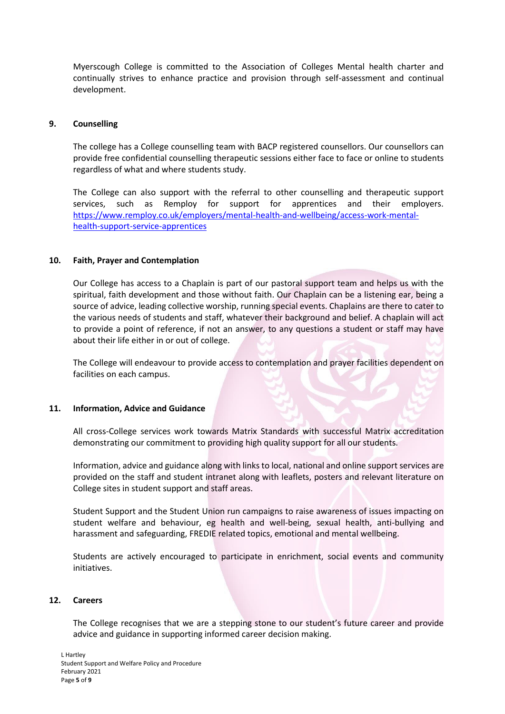Myerscough College is committed to the Association of Colleges Mental health charter and continually strives to enhance practice and provision through self-assessment and continual development.

## **9. Counselling**

The college has a College counselling team with BACP registered counsellors. Our counsellors can provide free confidential counselling therapeutic sessions either face to face or online to students regardless of what and where students study.

The College can also support with the referral to other counselling and therapeutic support services, such as Remploy for support for apprentices and their employers. [https://www.remploy.co.uk/employers/mental-health-and-wellbeing/access-work-mental](https://www.remploy.co.uk/employers/mental-health-and-wellbeing/access-work-mental-health-support-service-apprentices)[health-support-service-apprentices](https://www.remploy.co.uk/employers/mental-health-and-wellbeing/access-work-mental-health-support-service-apprentices)

## **10. Faith, Prayer and Contemplation**

Our College has access to a Chaplain is part of our pastoral support team and helps us with the spiritual, faith development and those without faith. Our Chaplain can be a listening ear, being a source of advice, leading collective worship, running special events. Chaplains are there to cater to the various needs of students and staff, whatever their background and belief. A chaplain will act to provide a point of reference, if not an answer, to any questions a student or staff may have about their life either in or out of college.

The College will endeavour to provide access to contemplation and prayer facilities dependent on facilities on each campus.

#### **11. Information, Advice and Guidance**

All cross-College services work towards Matrix Standards with successful Matrix accreditation demonstrating our commitment to providing high quality support for all our students.

Information, advice and guidance along with links to local, national and online support services are provided on the staff and student intranet along with leaflets, posters and relevant literature on College sites in student support and staff areas.

Student Support and the Student Union run campaigns to raise awareness of issues impacting on student welfare and behaviour, eg health and well-being, sexual health, anti-bullying and harassment and safeguarding, FREDIE related topics, emotional and mental wellbeing.

Students are actively encouraged to participate in enrichment, social events and community initiatives.

#### **12. Careers**

The College recognises that we are a stepping stone to our student's future career and provide advice and guidance in supporting informed career decision making.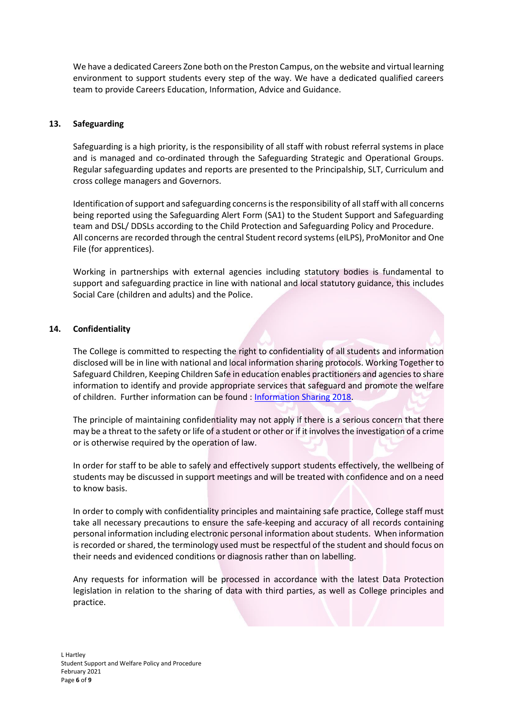We have a dedicated Careers Zone both on the Preston Campus, on the website and virtual learning environment to support students every step of the way. We have a dedicated qualified careers team to provide Careers Education, Information, Advice and Guidance.

# **13. Safeguarding**

Safeguarding is a high priority, is the responsibility of all staff with robust referral systems in place and is managed and co-ordinated through the Safeguarding Strategic and Operational Groups. Regular safeguarding updates and reports are presented to the Principalship, SLT, Curriculum and cross college managers and Governors.

Identification of support and safeguarding concerns is the responsibility of all staff with all concerns being reported using the Safeguarding Alert Form (SA1) to the Student Support and Safeguarding team and DSL/ DDSLs according to the Child Protection and Safeguarding Policy and Procedure. All concerns are recorded through the central Student record systems (eILPS), ProMonitor and One File (for apprentices).

Working in partnerships with external agencies including statutory bodies is fundamental to support and safeguarding practice in line with national and local statutory guidance, this includes Social Care (children and adults) and the Police.

## **14. Confidentiality**

The College is committed to respecting the right to confidentiality of all students and information disclosed will be in line with national and local information sharing protocols. Working Together to Safeguard Children, Keeping Children Safe in education enables practitioners and agencies to share information to identify and provide appropriate services that safeguard and promote the welfare of children. Further information can be found : [Information Sharing 2018.](https://assets.publishing.service.gov.uk/government/uploads/system/uploads/attachment_data/file/721581/Information_sharing_advice_practitioners_safeguarding_services.pdf)

The principle of maintaining confidentiality may not apply if there is a serious concern that there may be a threat to the safety or life of a student or other or if it involves the investigation of a crime or is otherwise required by the operation of law.

In order for staff to be able to safely and effectively support students effectively, the wellbeing of students may be discussed in support meetings and will be treated with confidence and on a need to know basis.

In order to comply with confidentiality principles and maintaining safe practice, College staff must take all necessary precautions to ensure the safe-keeping and accuracy of all records containing personal information including electronic personal information about students. When information is recorded or shared, the terminology used must be respectful of the student and should focus on their needs and evidenced conditions or diagnosis rather than on labelling.

Any requests for information will be processed in accordance with the latest Data Protection legislation in relation to the sharing of data with third parties, as well as College principles and practice.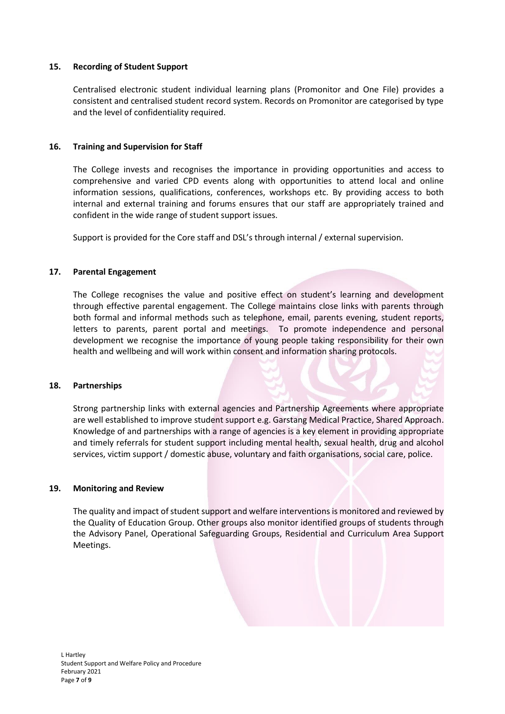## **15. Recording of Student Support**

Centralised electronic student individual learning plans (Promonitor and One File) provides a consistent and centralised student record system. Records on Promonitor are categorised by type and the level of confidentiality required.

## **16. Training and Supervision for Staff**

The College invests and recognises the importance in providing opportunities and access to comprehensive and varied CPD events along with opportunities to attend local and online information sessions, qualifications, conferences, workshops etc. By providing access to both internal and external training and forums ensures that our staff are appropriately trained and confident in the wide range of student support issues.

Support is provided for the Core staff and DSL's through internal / external supervision.

## **17. Parental Engagement**

The College recognises the value and positive effect on student's learning and development through effective parental engagement. The College maintains close links with parents through both formal and informal methods such as telephone, email, parents evening, student reports, letters to parents, parent portal and meetings. To promote independence and personal development we recognise the importance of young people taking responsibility for their own health and wellbeing and will work within consent and information sharing protocols.

#### **18. Partnerships**

Strong partnership links with external agencies and Partnership Agreements where appropriate are well established to improve student support e.g. Garstang Medical Practice, Shared Approach. Knowledge of and partnerships with a range of agencies is a key element in providing appropriate and timely referrals for student support including mental health, sexual health, drug and alcohol services, victim support / domestic abuse, voluntary and faith organisations, social care, police.

#### **19. Monitoring and Review**

The quality and impact of student support and welfare interventions is monitored and reviewed by the Quality of Education Group. Other groups also monitor identified groups of students through the Advisory Panel, Operational Safeguarding Groups, Residential and Curriculum Area Support Meetings.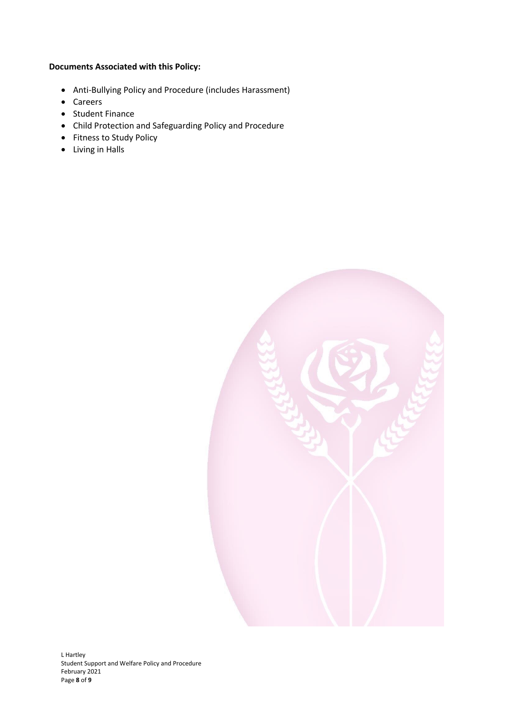## **Documents Associated with this Policy:**

- Anti-Bullying Policy and Procedure (includes Harassment)
- Careers
- Student Finance
- Child Protection and Safeguarding Policy and Procedure
- Fitness to Study Policy
- Living in Halls